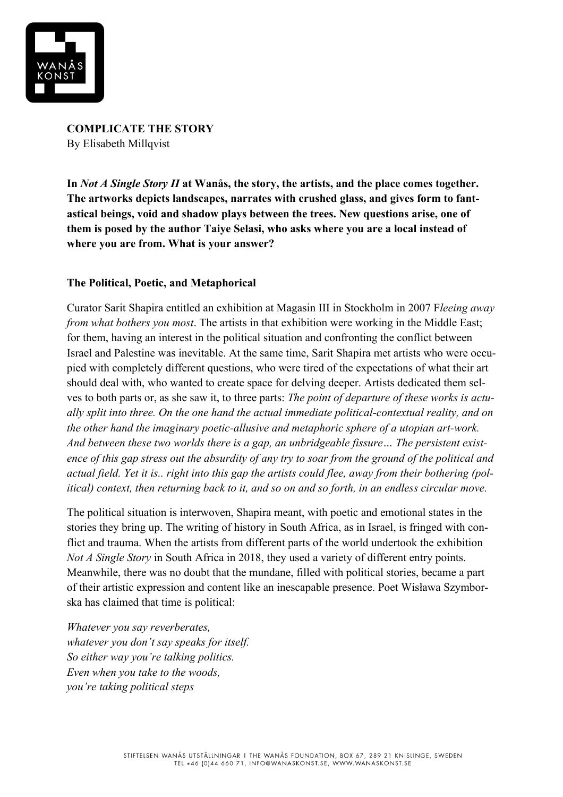

**COMPLICATE THE STORY** By Elisabeth Millqvist

**In** *Not A Single Story II* **at Wanås, the story, the artists, and the place comes together. The artworks depicts landscapes, narrates with crushed glass, and gives form to fantastical beings, void and shadow plays between the trees. New questions arise, one of them is posed by the author Taiye Selasi, who asks where you are a local instead of where you are from. What is your answer?**

### **The Political, Poetic, and Metaphorical**

Curator Sarit Shapira entitled an exhibition at Magasin III in Stockholm in 2007 F*leeing away from what bothers you most*. The artists in that exhibition were working in the Middle East; for them, having an interest in the political situation and confronting the conflict between Israel and Palestine was inevitable. At the same time, Sarit Shapira met artists who were occupied with completely different questions, who were tired of the expectations of what their art should deal with, who wanted to create space for delving deeper. Artists dedicated them selves to both parts or, as she saw it, to three parts: *The point of departure of these works is actually split into three. On the one hand the actual immediate political-contextual reality, and on the other hand the imaginary poetic-allusive and metaphoric sphere of a utopian art-work. And between these two worlds there is a gap, an unbridgeable fissure… The persistent existence of this gap stress out the absurdity of any try to soar from the ground of the political and actual field. Yet it is.. right into this gap the artists could flee, away from their bothering (political) context, then returning back to it, and so on and so forth, in an endless circular move.*

The political situation is interwoven, Shapira meant, with poetic and emotional states in the stories they bring up. The writing of history in South Africa, as in Israel, is fringed with conflict and trauma. When the artists from different parts of the world undertook the exhibition *Not A Single Story* in South Africa in 2018, they used a variety of different entry points. Meanwhile, there was no doubt that the mundane, filled with political stories, became a part of their artistic expression and content like an inescapable presence. Poet Wisława Szymborska has claimed that time is political:

*Whatever you say reverberates, whatever you don't say speaks for itself. So either way you're talking politics. Even when you take to the woods, you're taking political steps*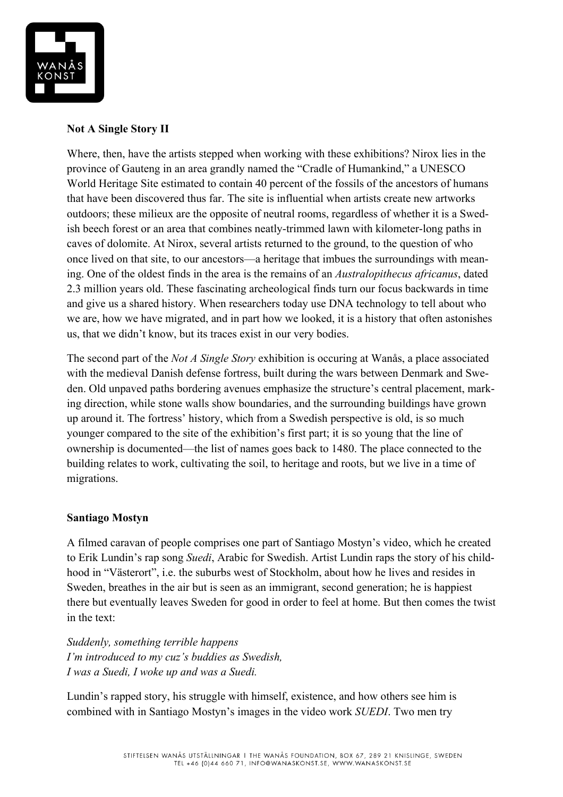

# **Not A Single Story II**

Where, then, have the artists stepped when working with these exhibitions? Nirox lies in the province of Gauteng in an area grandly named the "Cradle of Humankind," a UNESCO World Heritage Site estimated to contain 40 percent of the fossils of the ancestors of humans that have been discovered thus far. The site is influential when artists create new artworks outdoors; these milieux are the opposite of neutral rooms, regardless of whether it is a Swedish beech forest or an area that combines neatly-trimmed lawn with kilometer-long paths in caves of dolomite. At Nirox, several artists returned to the ground, to the question of who once lived on that site, to our ancestors—a heritage that imbues the surroundings with meaning. One of the oldest finds in the area is the remains of an *Australopithecus africanus*, dated 2.3 million years old. These fascinating archeological finds turn our focus backwards in time and give us a shared history. When researchers today use DNA technology to tell about who we are, how we have migrated, and in part how we looked, it is a history that often astonishes us, that we didn't know, but its traces exist in our very bodies.

The second part of the *Not A Single Story* exhibition is occuring at Wanås, a place associated with the medieval Danish defense fortress, built during the wars between Denmark and Sweden. Old unpaved paths bordering avenues emphasize the structure's central placement, marking direction, while stone walls show boundaries, and the surrounding buildings have grown up around it. The fortress' history, which from a Swedish perspective is old, is so much younger compared to the site of the exhibition's first part; it is so young that the line of ownership is documented—the list of names goes back to 1480. The place connected to the building relates to work, cultivating the soil, to heritage and roots, but we live in a time of migrations.

### **Santiago Mostyn**

A filmed caravan of people comprises one part of Santiago Mostyn's video, which he created to Erik Lundin's rap song *Suedi*, Arabic for Swedish. Artist Lundin raps the story of his childhood in "Västerort", i.e. the suburbs west of Stockholm, about how he lives and resides in Sweden, breathes in the air but is seen as an immigrant, second generation; he is happiest there but eventually leaves Sweden for good in order to feel at home. But then comes the twist in the text:

*Suddenly, something terrible happens I'm introduced to my cuz's buddies as Swedish, I was a Suedi, I woke up and was a Suedi.*

Lundin's rapped story, his struggle with himself, existence, and how others see him is combined with in Santiago Mostyn's images in the video work *SUEDI*. Two men try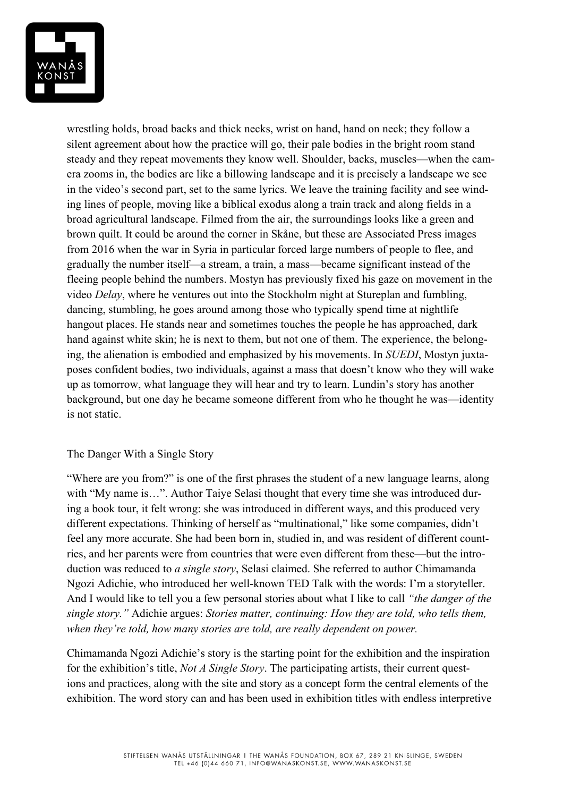

wrestling holds, broad backs and thick necks, wrist on hand, hand on neck; they follow a silent agreement about how the practice will go, their pale bodies in the bright room stand steady and they repeat movements they know well. Shoulder, backs, muscles—when the camera zooms in, the bodies are like a billowing landscape and it is precisely a landscape we see in the video's second part, set to the same lyrics. We leave the training facility and see winding lines of people, moving like a biblical exodus along a train track and along fields in a broad agricultural landscape. Filmed from the air, the surroundings looks like a green and brown quilt. It could be around the corner in Skåne, but these are Associated Press images from 2016 when the war in Syria in particular forced large numbers of people to flee, and gradually the number itself—a stream, a train, a mass—became significant instead of the fleeing people behind the numbers. Mostyn has previously fixed his gaze on movement in the video *Delay*, where he ventures out into the Stockholm night at Stureplan and fumbling, dancing, stumbling, he goes around among those who typically spend time at nightlife hangout places. He stands near and sometimes touches the people he has approached, dark hand against white skin; he is next to them, but not one of them. The experience, the belonging, the alienation is embodied and emphasized by his movements. In *SUEDI*, Mostyn juxtaposes confident bodies, two individuals, against a mass that doesn't know who they will wake up as tomorrow, what language they will hear and try to learn. Lundin's story has another background, but one day he became someone different from who he thought he was—identity is not static.

### The Danger With a Single Story

"Where are you from?" is one of the first phrases the student of a new language learns, along with "My name is...". Author Taiye Selasi thought that every time she was introduced during a book tour, it felt wrong: she was introduced in different ways, and this produced very different expectations. Thinking of herself as "multinational," like some companies, didn't feel any more accurate. She had been born in, studied in, and was resident of different countries, and her parents were from countries that were even different from these—but the introduction was reduced to *a single story*, Selasi claimed. She referred to author Chimamanda Ngozi Adichie, who introduced her well-known TED Talk with the words: I'm a storyteller. And I would like to tell you a few personal stories about what I like to call *"the danger of the single story."* Adichie argues: *Stories matter, continuing: How they are told, who tells them, when they're told, how many stories are told, are really dependent on power.*

Chimamanda Ngozi Adichie's story is the starting point for the exhibition and the inspiration for the exhibition's title, *Not A Single Story*. The participating artists, their current questions and practices, along with the site and story as a concept form the central elements of the exhibition. The word story can and has been used in exhibition titles with endless interpretive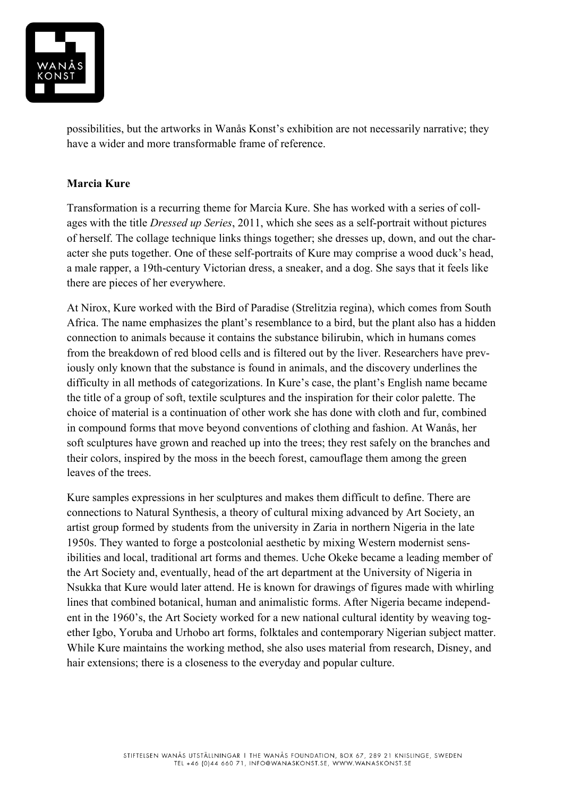

possibilities, but the artworks in Wanås Konst's exhibition are not necessarily narrative; they have a wider and more transformable frame of reference.

# **Marcia Kure**

Transformation is a recurring theme for Marcia Kure. She has worked with a series of collages with the title *Dressed up Series*, 2011, which she sees as a self-portrait without pictures of herself. The collage technique links things together; she dresses up, down, and out the character she puts together. One of these self-portraits of Kure may comprise a wood duck's head, a male rapper, a 19th-century Victorian dress, a sneaker, and a dog. She says that it feels like there are pieces of her everywhere.

At Nirox, Kure worked with the Bird of Paradise (Strelitzia regina), which comes from South Africa. The name emphasizes the plant's resemblance to a bird, but the plant also has a hidden connection to animals because it contains the substance bilirubin, which in humans comes from the breakdown of red blood cells and is filtered out by the liver. Researchers have previously only known that the substance is found in animals, and the discovery underlines the difficulty in all methods of categorizations. In Kure's case, the plant's English name became the title of a group of soft, textile sculptures and the inspiration for their color palette. The choice of material is a continuation of other work she has done with cloth and fur, combined in compound forms that move beyond conventions of clothing and fashion. At Wanås, her soft sculptures have grown and reached up into the trees; they rest safely on the branches and their colors, inspired by the moss in the beech forest, camouflage them among the green leaves of the trees.

Kure samples expressions in her sculptures and makes them difficult to define. There are connections to Natural Synthesis, a theory of cultural mixing advanced by Art Society, an artist group formed by students from the university in Zaria in northern Nigeria in the late 1950s. They wanted to forge a postcolonial aesthetic by mixing Western modernist sensibilities and local, traditional art forms and themes. Uche Okeke became a leading member of the Art Society and, eventually, head of the art department at the University of Nigeria in Nsukka that Kure would later attend. He is known for drawings of figures made with whirling lines that combined botanical, human and animalistic forms. After Nigeria became independent in the 1960's, the Art Society worked for a new national cultural identity by weaving together Igbo, Yoruba and Urhobo art forms, folktales and contemporary Nigerian subject matter. While Kure maintains the working method, she also uses material from research, Disney, and hair extensions; there is a closeness to the everyday and popular culture.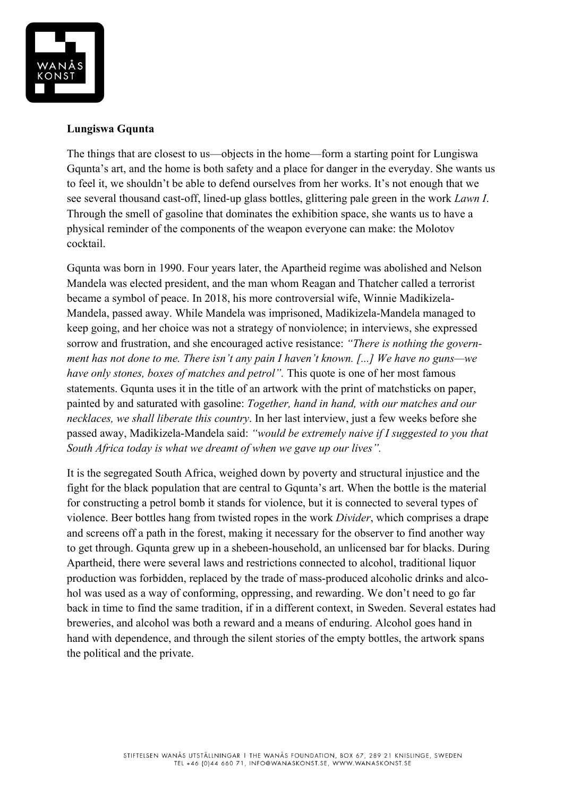

### **Lungiswa Gqunta**

The things that are closest to us—objects in the home—form a starting point for Lungiswa Gqunta's art, and the home is both safety and a place for danger in the everyday. She wants us to feel it, we shouldn't be able to defend ourselves from her works. It's not enough that we see several thousand cast-off, lined-up glass bottles, glittering pale green in the work *Lawn I*. Through the smell of gasoline that dominates the exhibition space, she wants us to have a physical reminder of the components of the weapon everyone can make: the Molotov cocktail.

Gqunta was born in 1990. Four years later, the Apartheid regime was abolished and Nelson Mandela was elected president, and the man whom Reagan and Thatcher called a terrorist became a symbol of peace. In 2018, his more controversial wife, Winnie Madikizela-Mandela, passed away. While Mandela was imprisoned, Madikizela-Mandela managed to keep going, and her choice was not a strategy of nonviolence; in interviews, she expressed sorrow and frustration, and she encouraged active resistance: *"There is nothing the government has not done to me. There isn't any pain I haven't known. [...] We have no guns—we have only stones, boxes of matches and petrol".* This quote is one of her most famous statements. Gqunta uses it in the title of an artwork with the print of matchsticks on paper, painted by and saturated with gasoline: *Together, hand in hand, with our matches and our necklaces, we shall liberate this country*. In her last interview, just a few weeks before she passed away, Madikizela-Mandela said: *"would be extremely naive if I suggested to you that South Africa today is what we dreamt of when we gave up our lives".*

It is the segregated South Africa, weighed down by poverty and structural injustice and the fight for the black population that are central to Gqunta's art. When the bottle is the material for constructing a petrol bomb it stands for violence, but it is connected to several types of violence. Beer bottles hang from twisted ropes in the work *Divider*, which comprises a drape and screens off a path in the forest, making it necessary for the observer to find another way to get through. Gqunta grew up in a shebeen-household, an unlicensed bar for blacks. During Apartheid, there were several laws and restrictions connected to alcohol, traditional liquor production was forbidden, replaced by the trade of mass-produced alcoholic drinks and alcohol was used as a way of conforming, oppressing, and rewarding. We don't need to go far back in time to find the same tradition, if in a different context, in Sweden. Several estates had breweries, and alcohol was both a reward and a means of enduring. Alcohol goes hand in hand with dependence, and through the silent stories of the empty bottles, the artwork spans the political and the private.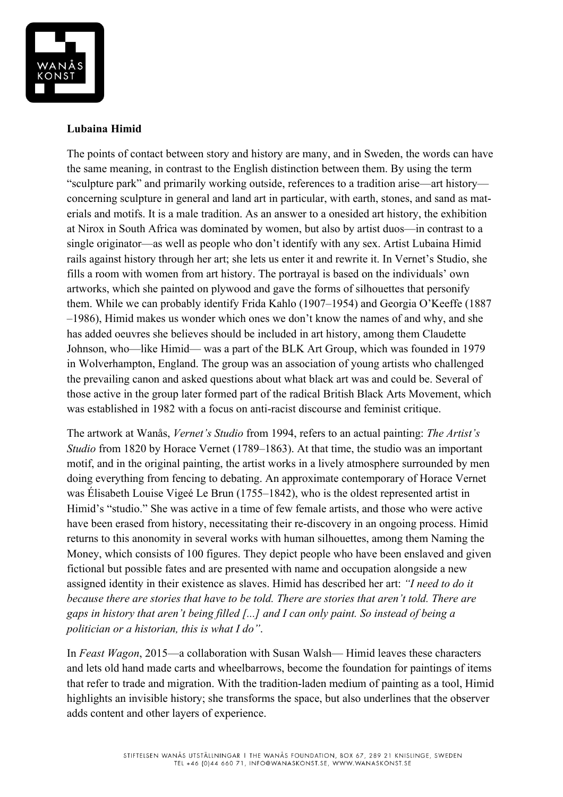

## **Lubaina Himid**

The points of contact between story and history are many, and in Sweden, the words can have the same meaning, in contrast to the English distinction between them. By using the term "sculpture park" and primarily working outside, references to a tradition arise—art history concerning sculpture in general and land art in particular, with earth, stones, and sand as materials and motifs. It is a male tradition. As an answer to a onesided art history, the exhibition at Nirox in South Africa was dominated by women, but also by artist duos—in contrast to a single originator—as well as people who don't identify with any sex. Artist Lubaina Himid rails against history through her art; she lets us enter it and rewrite it. In Vernet's Studio, she fills a room with women from art history. The portrayal is based on the individuals' own artworks, which she painted on plywood and gave the forms of silhouettes that personify them. While we can probably identify Frida Kahlo (1907–1954) and Georgia O'Keeffe (1887 –1986), Himid makes us wonder which ones we don't know the names of and why, and she has added oeuvres she believes should be included in art history, among them Claudette Johnson, who—like Himid— was a part of the BLK Art Group, which was founded in 1979 in Wolverhampton, England. The group was an association of young artists who challenged the prevailing canon and asked questions about what black art was and could be. Several of those active in the group later formed part of the radical British Black Arts Movement, which was established in 1982 with a focus on anti-racist discourse and feminist critique.

The artwork at Wanås, *Vernet's Studio* from 1994, refers to an actual painting: *The Artist's Studio* from 1820 by Horace Vernet (1789–1863). At that time, the studio was an important motif, and in the original painting, the artist works in a lively atmosphere surrounded by men doing everything from fencing to debating. An approximate contemporary of Horace Vernet was Élisabeth Louise Vigeé Le Brun (1755–1842), who is the oldest represented artist in Himid's "studio." She was active in a time of few female artists, and those who were active have been erased from history, necessitating their re-discovery in an ongoing process. Himid returns to this anonomity in several works with human silhouettes, among them Naming the Money, which consists of 100 figures. They depict people who have been enslaved and given fictional but possible fates and are presented with name and occupation alongside a new assigned identity in their existence as slaves. Himid has described her art: *"I need to do it because there are stories that have to be told. There are stories that aren't told. There are gaps in history that aren't being filled [...] and I can only paint. So instead of being a politician or a historian, this is what I do"*.

In *Feast Wagon*, 2015—a collaboration with Susan Walsh— Himid leaves these characters and lets old hand made carts and wheelbarrows, become the foundation for paintings of items that refer to trade and migration. With the tradition-laden medium of painting as a tool, Himid highlights an invisible history; she transforms the space, but also underlines that the observer adds content and other layers of experience.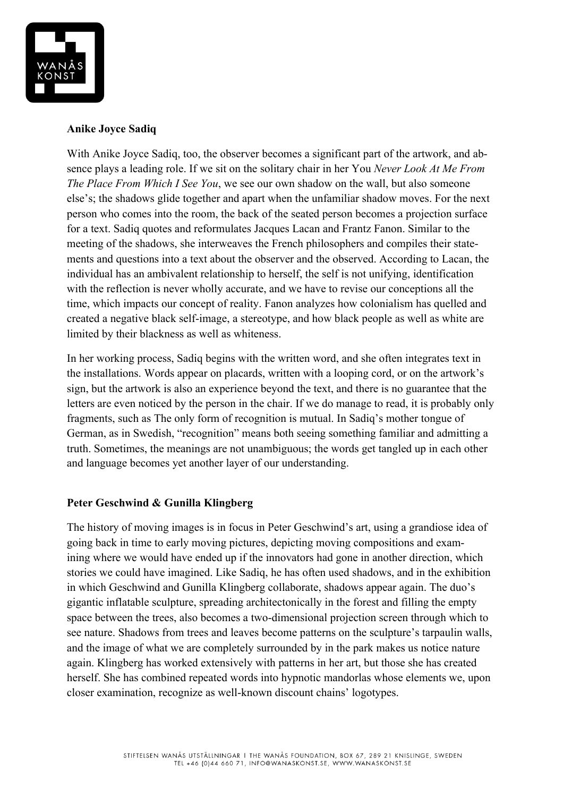

## **Anike Joyce Sadiq**

With Anike Joyce Sadiq, too, the observer becomes a significant part of the artwork, and absence plays a leading role. If we sit on the solitary chair in her You *Never Look At Me From The Place From Which I See You*, we see our own shadow on the wall, but also someone else's; the shadows glide together and apart when the unfamiliar shadow moves. For the next person who comes into the room, the back of the seated person becomes a projection surface for a text. Sadiq quotes and reformulates Jacques Lacan and Frantz Fanon. Similar to the meeting of the shadows, she interweaves the French philosophers and compiles their statements and questions into a text about the observer and the observed. According to Lacan, the individual has an ambivalent relationship to herself, the self is not unifying, identification with the reflection is never wholly accurate, and we have to revise our conceptions all the time, which impacts our concept of reality. Fanon analyzes how colonialism has quelled and created a negative black self-image, a stereotype, and how black people as well as white are limited by their blackness as well as whiteness.

In her working process, Sadiq begins with the written word, and she often integrates text in the installations. Words appear on placards, written with a looping cord, or on the artwork's sign, but the artwork is also an experience beyond the text, and there is no guarantee that the letters are even noticed by the person in the chair. If we do manage to read, it is probably only fragments, such as The only form of recognition is mutual. In Sadiq's mother tongue of German, as in Swedish, "recognition" means both seeing something familiar and admitting a truth. Sometimes, the meanings are not unambiguous; the words get tangled up in each other and language becomes yet another layer of our understanding.

### **Peter Geschwind & Gunilla Klingberg**

The history of moving images is in focus in Peter Geschwind's art, using a grandiose idea of going back in time to early moving pictures, depicting moving compositions and examining where we would have ended up if the innovators had gone in another direction, which stories we could have imagined. Like Sadiq, he has often used shadows, and in the exhibition in which Geschwind and Gunilla Klingberg collaborate, shadows appear again. The duo's gigantic inflatable sculpture, spreading architectonically in the forest and filling the empty space between the trees, also becomes a two-dimensional projection screen through which to see nature. Shadows from trees and leaves become patterns on the sculpture's tarpaulin walls, and the image of what we are completely surrounded by in the park makes us notice nature again. Klingberg has worked extensively with patterns in her art, but those she has created herself. She has combined repeated words into hypnotic mandorlas whose elements we, upon closer examination, recognize as well-known discount chains' logotypes.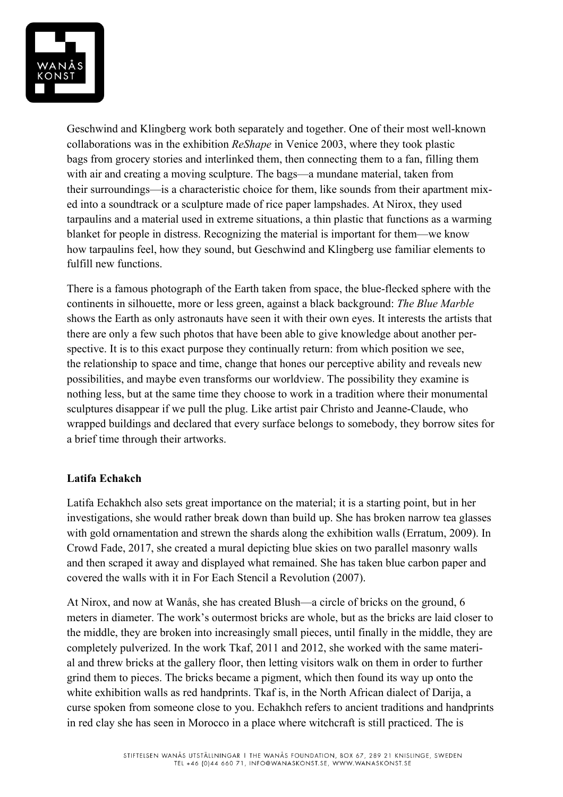

Geschwind and Klingberg work both separately and together. One of their most well-known collaborations was in the exhibition *ReShape* in Venice 2003, where they took plastic bags from grocery stories and interlinked them, then connecting them to a fan, filling them with air and creating a moving sculpture. The bags—a mundane material, taken from their surroundings—is a characteristic choice for them, like sounds from their apartment mixed into a soundtrack or a sculpture made of rice paper lampshades. At Nirox, they used tarpaulins and a material used in extreme situations, a thin plastic that functions as a warming blanket for people in distress. Recognizing the material is important for them—we know how tarpaulins feel, how they sound, but Geschwind and Klingberg use familiar elements to fulfill new functions.

There is a famous photograph of the Earth taken from space, the blue-flecked sphere with the continents in silhouette, more or less green, against a black background: *The Blue Marble*  shows the Earth as only astronauts have seen it with their own eyes. It interests the artists that there are only a few such photos that have been able to give knowledge about another perspective. It is to this exact purpose they continually return: from which position we see, the relationship to space and time, change that hones our perceptive ability and reveals new possibilities, and maybe even transforms our worldview. The possibility they examine is nothing less, but at the same time they choose to work in a tradition where their monumental sculptures disappear if we pull the plug. Like artist pair Christo and Jeanne-Claude, who wrapped buildings and declared that every surface belongs to somebody, they borrow sites for a brief time through their artworks.

### **Latifa Echakch**

Latifa Echakhch also sets great importance on the material; it is a starting point, but in her investigations, she would rather break down than build up. She has broken narrow tea glasses with gold ornamentation and strewn the shards along the exhibition walls (Erratum, 2009). In Crowd Fade, 2017, she created a mural depicting blue skies on two parallel masonry walls and then scraped it away and displayed what remained. She has taken blue carbon paper and covered the walls with it in For Each Stencil a Revolution (2007).

At Nirox, and now at Wanås, she has created Blush—a circle of bricks on the ground, 6 meters in diameter. The work's outermost bricks are whole, but as the bricks are laid closer to the middle, they are broken into increasingly small pieces, until finally in the middle, they are completely pulverized. In the work Tkaf, 2011 and 2012, she worked with the same material and threw bricks at the gallery floor, then letting visitors walk on them in order to further grind them to pieces. The bricks became a pigment, which then found its way up onto the white exhibition walls as red handprints. Tkaf is, in the North African dialect of Darija, a curse spoken from someone close to you. Echakhch refers to ancient traditions and handprints in red clay she has seen in Morocco in a place where witchcraft is still practiced. The is